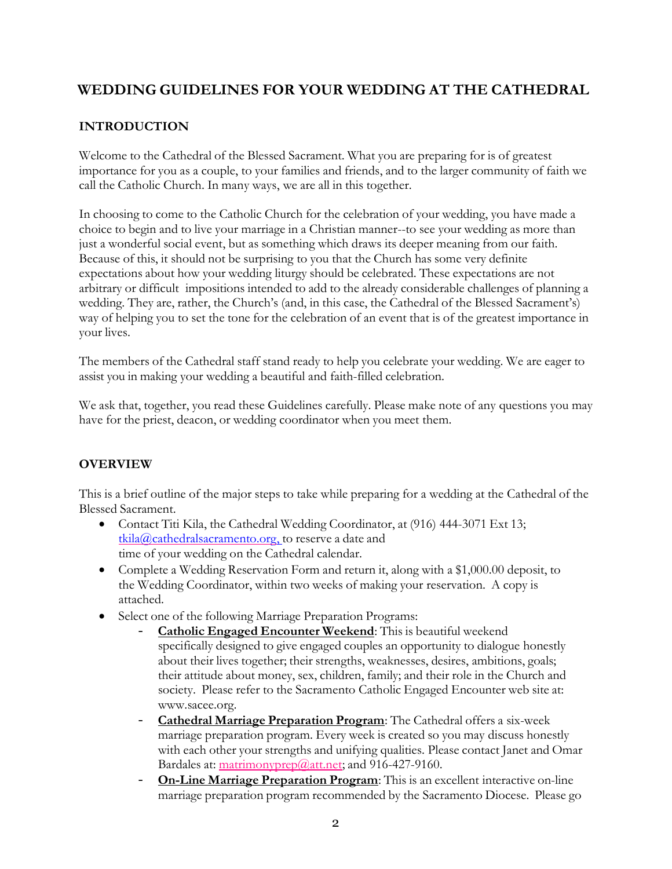# **WEDDING GUIDELINES FOR YOUR WEDDING AT THE CATHEDRAL**

## **INTRODUCTION**

Welcome to the Cathedral of the Blessed Sacrament. What you are preparing for is of greatest importance for you as a couple, to your families and friends, and to the larger community of faith we call the Catholic Church. In many ways, we are all in this together.

In choosing to come to the Catholic Church for the celebration of your wedding, you have made a choice to begin and to live your marriage in a Christian manner--to see your wedding as more than just a wonderful social event, but as something which draws its deeper meaning from our faith. Because of this, it should not be surprising to you that the Church has some very definite expectations about how your wedding liturgy should be celebrated. These expectations are not arbitrary or difficult impositions intended to add to the already considerable challenges of planning a wedding. They are, rather, the Church's (and, in this case, the Cathedral of the Blessed Sacrament's) way of helping you to set the tone for the celebration of an event that is of the greatest importance in your lives.

The members of the Cathedral staff stand ready to help you celebrate your wedding. We are eager to assist you in making your wedding a beautiful and faith-filled celebration.

We ask that, together, you read these Guidelines carefully. Please make note of any questions you may have for the priest, deacon, or wedding coordinator when you meet them.

## **OVERVIEW**

This is a brief outline of the major steps to take while preparing for a wedding at the Cathedral of the Blessed Sacrament.

- Contact Titi Kila, the Cathedral Wedding Coordinator, at (916) 444-3071 Ext 13; [tkila@cathedralsacramento.org,](mailto:tkila@cathedralsacramento.org,) to reserve a date and time of your wedding on the Cathedral calendar.
- Complete a Wedding Reservation Form and return it, along with a \$1,000.00 deposit, to the Wedding Coordinator, within two weeks of making your reservation. A copy is attached.
- Select one of the following Marriage Preparation Programs:
	- **Catholic Engaged Encounter Weekend**: This is beautiful weekend specifically designed to give engaged couples an opportunity to dialogue honestly about their lives together; their strengths, weaknesses, desires, ambitions, goals; their attitude about money, sex, children, family; and their role in the Church and society. Please refer to the Sacramento Catholic Engaged Encounter web site at: [www.sacee.org.](http://www.sacee.org/)
	- **Cathedral Marriage Preparation Program**: The Cathedral offers a six-week marriage preparation program. Every week is created so you may discuss honestly with each other your strengths and unifying qualities. Please contact Janet and Omar Bardales at: matrimonyprep@att.net; and 916-427-9160.
	- **On-Line Marriage Preparation Program**: This is an excellent interactive on-line marriage preparation program recommended by the Sacramento Diocese. Please go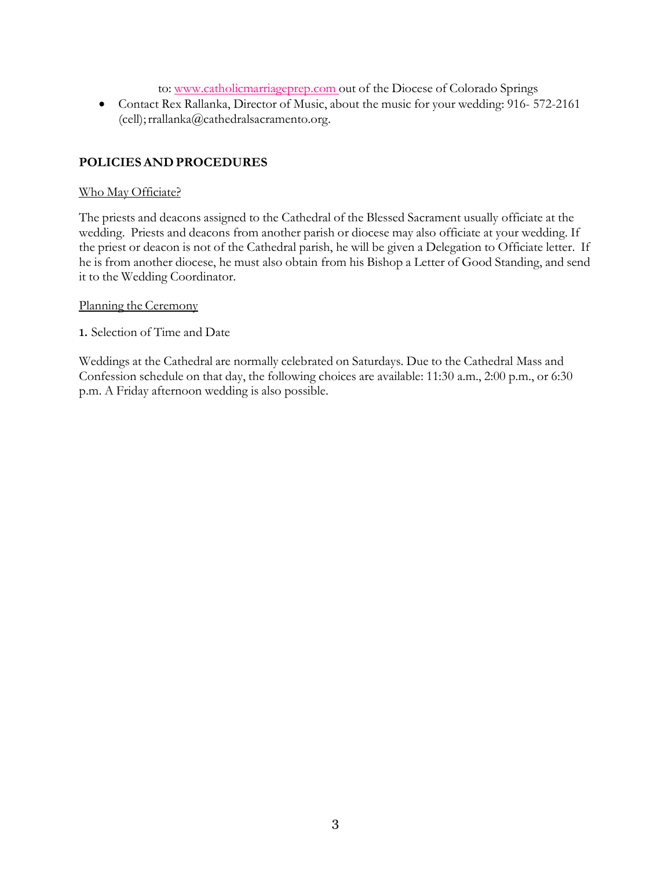to: [www.catholicmarriageprep.com](http://www.catholicmarriageprep.com/) out of the Diocese of Colorado Springs

• Contact Rex Rallanka, Director of Music, about the music for your wedding: 916-572-2161 (cell)[;rrallanka@cathedralsacramento.org.](mailto:rrallanka@cathedralsacramento.org)

## **POLICIES AND PROCEDURES**

#### Who May Officiate?

The priests and deacons assigned to the Cathedral of the Blessed Sacrament usually officiate at the wedding. Priests and deacons from another parish or diocese may also officiate at your wedding. If the priest or deacon is not of the Cathedral parish, he will be given a Delegation to Officiate letter. If he is from another diocese, he must also obtain from his Bishop a Letter of Good Standing, and send it to the Wedding Coordinator.

#### Planning the Ceremony

### 1. Selection of Time and Date

Weddings at the Cathedral are normally celebrated on Saturdays. Due to the Cathedral Mass and Confession schedule on that day, the following choices are available: 11:30 a.m., 2:00 p.m., or 6:30 p.m. A Friday afternoon wedding is also possible.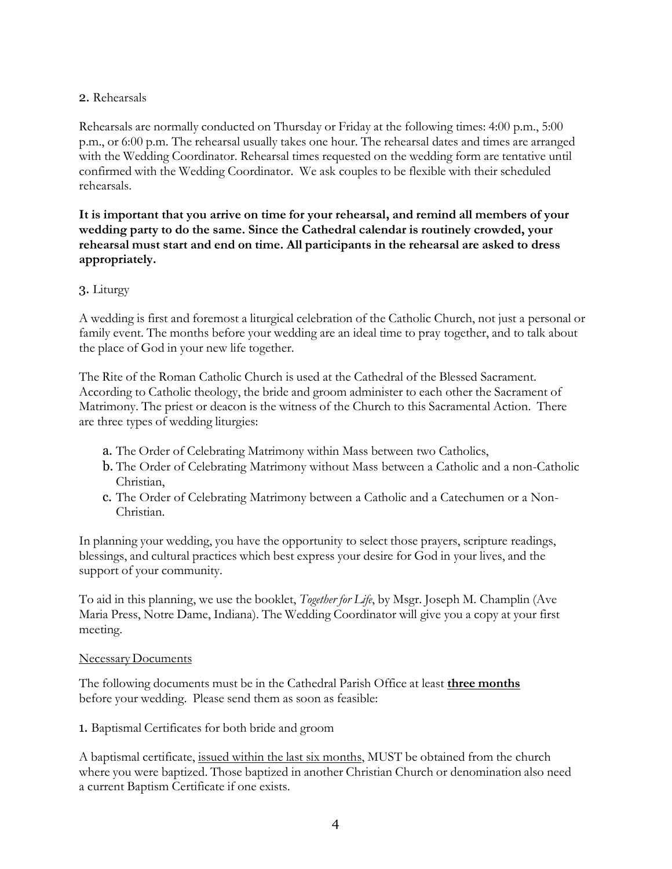### 2. Rehearsals

Rehearsals are normally conducted on Thursday or Friday at the following times: 4:00 p.m., 5:00 p.m., or 6:00 p.m. The rehearsal usually takes one hour. The rehearsal dates and times are arranged with the Wedding Coordinator. Rehearsal times requested on the wedding form are tentative until confirmed with the Wedding Coordinator. We ask couples to be flexible with their scheduled rehearsals.

**It is important that you arrive on time for your rehearsal, and remind all members of your wedding party to do the same. Since the Cathedral calendar is routinely crowded, your rehearsal must start and end on time. All participants in the rehearsal are asked to dress appropriately.**

### 3. Liturgy

A wedding is first and foremost a liturgical celebration of the Catholic Church, not just a personal or family event. The months before your wedding are an ideal time to pray together, and to talk about the place of God in your new life together.

The Rite of the Roman Catholic Church is used at the Cathedral of the Blessed Sacrament. According to Catholic theology, the bride and groom administer to each other the Sacrament of Matrimony. The priest or deacon is the witness of the Church to this Sacramental Action. There are three types of wedding liturgies:

- a. The Order of Celebrating Matrimony within Mass between two Catholics,
- b. The Order of Celebrating Matrimony without Mass between a Catholic and a non-Catholic Christian,
- c. The Order of Celebrating Matrimony between a Catholic and a Catechumen or a Non-Christian.

In planning your wedding, you have the opportunity to select those prayers, scripture readings, blessings, and cultural practices which best express your desire for God in your lives, and the support of your community.

To aid in this planning, we use the booklet, *Together for Life*, by Msgr. Joseph M. Champlin (Ave Maria Press, Notre Dame, Indiana). The Wedding Coordinator will give you a copy at your first meeting.

### NecessaryDocuments

The following documents must be in the Cathedral Parish Office at least **three months** before your wedding. Please send them as soon as feasible:

1. Baptismal Certificates for both bride and groom

A baptismal certificate, issued within the last six months, MUST be obtained from the church where you were baptized. Those baptized in another Christian Church or denomination also need a current Baptism Certificate if one exists.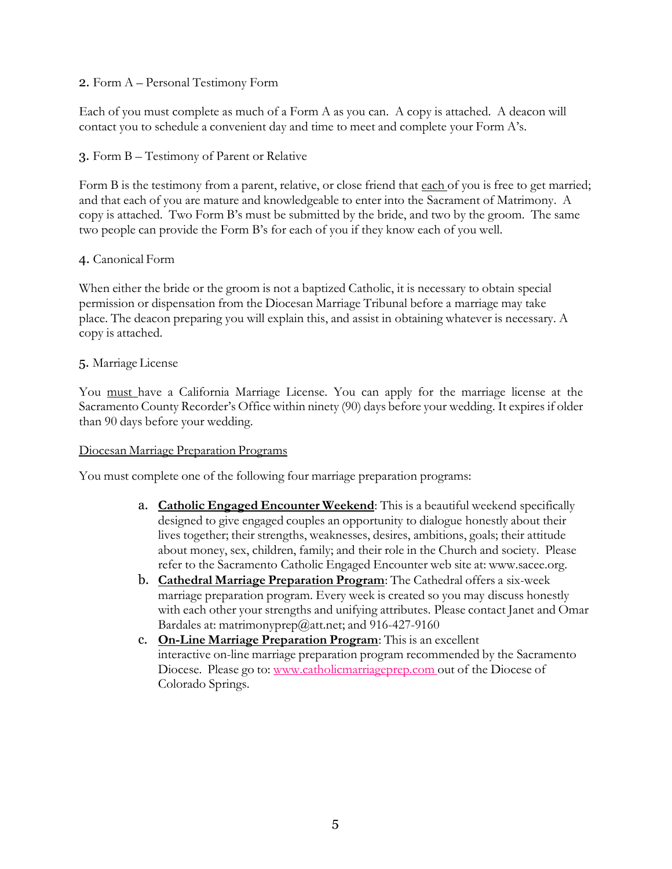### 2. Form A – Personal Testimony Form

Each of you must complete as much of a Form A as you can. A copy is attached. A deacon will contact you to schedule a convenient day and time to meet and complete your Form A's.

## 3. Form B – Testimony of Parent or Relative

Form B is the testimony from a parent, relative, or close friend that each of you is free to get married; and that each of you are mature and knowledgeable to enter into the Sacrament of Matrimony. A copy is attached. Two Form B's must be submitted by the bride, and two by the groom. The same two people can provide the Form B's for each of you if they know each of you well.

### 4. Canonical Form

When either the bride or the groom is not a baptized Catholic, it is necessary to obtain special permission or dispensation from the Diocesan Marriage Tribunal before a marriage may take place. The deacon preparing you will explain this, and assist in obtaining whatever is necessary. A copy is attached.

### 5. Marriage License

You must have a California Marriage License. You can apply for the marriage license at the Sacramento County Recorder's Office within ninety (90) days before your wedding. It expires if older than 90 days before your wedding.

### Diocesan Marriage Preparation Programs

You must complete one of the following four marriage preparation programs:

- a. **Catholic Engaged Encounter Weekend**: This is a beautiful weekend specifically designed to give engaged couples an opportunity to dialogue honestly about their lives together; their strengths, weaknesses, desires, ambitions, goals; their attitude about money, sex, children, family; and their role in the Church and society. Please refer to the Sacramento Catholic Engaged Encounter web site at: [www.sacee.org.](http://www.sacee.org/)
- b. **Cathedral Marriage Preparation Program**: The Cathedral offers a six-week marriage preparation program. Every week is created so you may discuss honestly with each other your strengths and unifying attributes. Please contact Janet and Omar Bardales at: matrimonyprep@att.net; and 916-427-9160
- c. **On-Line Marriage Preparation Program**: This is an excellent interactive on-line marriage preparation program recommended by the Sacramento Diocese. Please go to: [www.catholicmarriageprep.com](http://www.catholicmarriageprep.com/) out of the Diocese of Colorado Springs.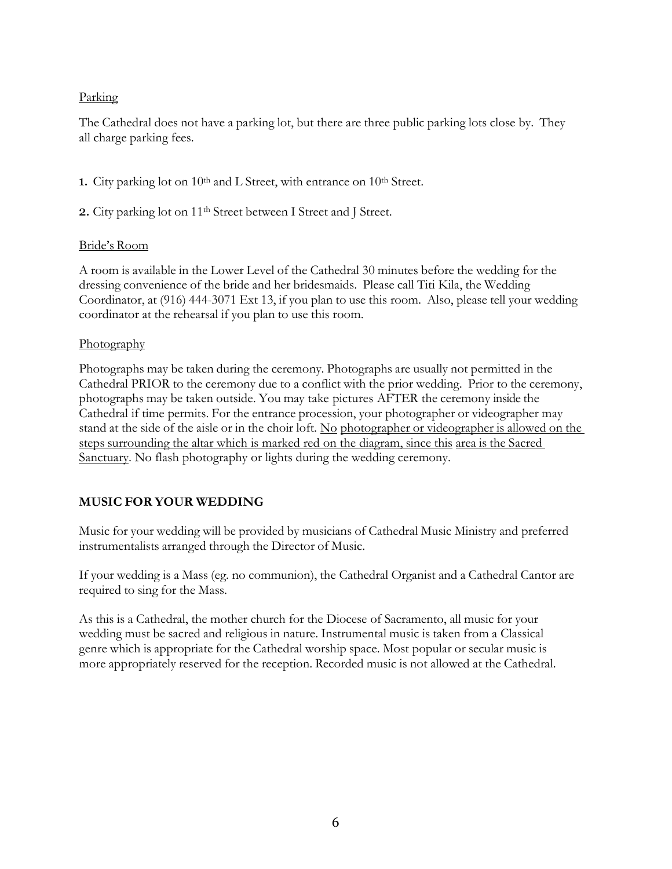### Parking

The Cathedral does not have a parking lot, but there are three public parking lots close by. They all charge parking fees.

1. City parking lot on 10<sup>th</sup> and L Street, with entrance on 10<sup>th</sup> Street.

2. City parking lot on 11<sup>th</sup> Street between I Street and J Street.

### Bride's Room

A room is available in the Lower Level of the Cathedral 30 minutes before the wedding for the dressing convenience of the bride and her bridesmaids. Please call Titi Kila, the Wedding Coordinator, at (916) 444-3071 Ext 13, if you plan to use this room. Also, please tell your wedding coordinator at the rehearsal if you plan to use this room.

### **Photography**

Photographs may be taken during the ceremony. Photographs are usually not permitted in the Cathedral PRIOR to the ceremony due to a conflict with the prior wedding. Prior to the ceremony, photographs may be taken outside. You may take pictures AFTER the ceremony inside the Cathedral if time permits. For the entrance procession, your photographer or videographer may stand at the side of the aisle or in the choir loft. No photographer or videographer is allowed on the steps surrounding the altar which is marked red on the diagram, since this area is the Sacred Sanctuary. No flash photography or lights during the wedding ceremony.

## **MUSIC FOR YOUR WEDDING**

Music for your wedding will be provided by musicians of Cathedral Music Ministry and preferred instrumentalists arranged through the Director of Music.

If your wedding is a Mass (eg. no communion), the Cathedral Organist and a Cathedral Cantor are required to sing for the Mass.

As this is a Cathedral, the mother church for the Diocese of Sacramento, all music for your wedding must be sacred and religious in nature. Instrumental music is taken from a Classical genre which is appropriate for the Cathedral worship space. Most popular or secular music is more appropriately reserved for the reception. Recorded music is not allowed at the Cathedral.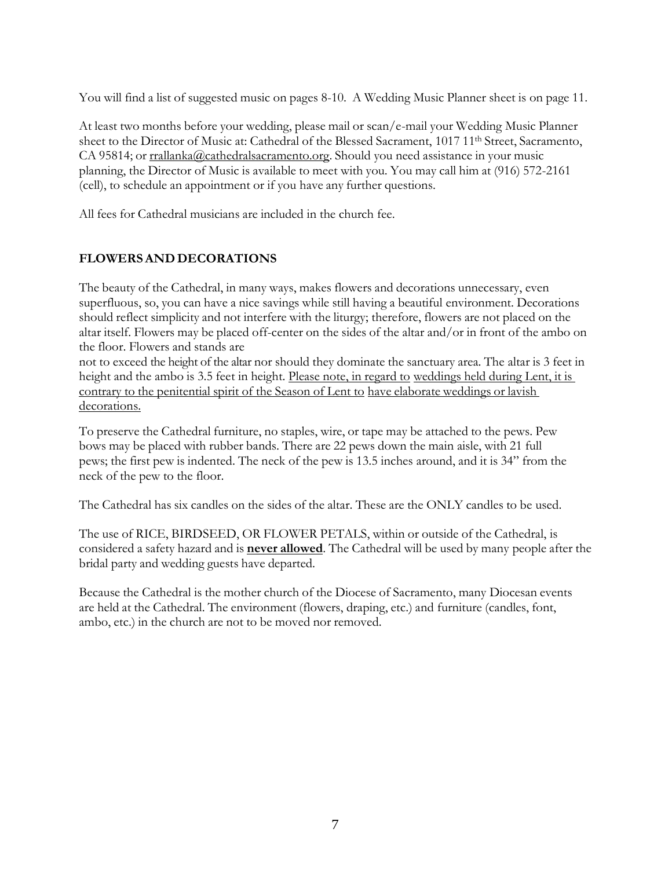You will find a list of suggested music on pages 8-10. A Wedding Music Planner sheet is on page 11.

At least two months before your wedding, please mail or scan/e-mail your Wedding Music Planner sheet to the Director of Music at: Cathedral of the Blessed Sacrament, 1017 11<sup>th</sup> Street, Sacramento, CA 95814; or [rrallanka@cathedralsacramento.org.](mailto:rrallanka@cathedralsacramento.org) Should you need assistance in your music planning, the Director of Music is available to meet with you. You may call him at (916) 572-2161 (cell), to schedule an appointment or if you have any further questions.

All fees for Cathedral musicians are included in the church fee.

## **FLOWERSAND DECORATIONS**

The beauty of the Cathedral, in many ways, makes flowers and decorations unnecessary, even superfluous, so, you can have a nice savings while still having a beautiful environment. Decorations should reflect simplicity and not interfere with the liturgy; therefore, flowers are not placed on the altar itself. Flowers may be placed off-center on the sides of the altar and/or in front of the ambo on the floor. Flowers and stands are

not to exceed the height of the altar nor should they dominate the sanctuary area. The altar is 3 feet in height and the ambo is 3.5 feet in height. Please note, in regard to weddings held during Lent, it is contrary to the penitential spirit of the Season of Lent to have elaborate weddings or lavish decorations.

To preserve the Cathedral furniture, no staples, wire, or tape may be attached to the pews. Pew bows may be placed with rubber bands. There are 22 pews down the main aisle, with 21 full pews; the first pew is indented. The neck of the pew is 13.5 inches around, and it is 34" from the neck of the pew to the floor.

The Cathedral has six candles on the sides of the altar. These are the ONLY candles to be used.

The use of RICE, BIRDSEED, OR FLOWER PETALS, within or outside of the Cathedral, is considered a safety hazard and is **never allowed**. The Cathedral will be used by many people after the bridal party and wedding guests have departed.

Because the Cathedral is the mother church of the Diocese of Sacramento, many Diocesan events are held at the Cathedral. The environment (flowers, draping, etc.) and furniture (candles, font, ambo, etc.) in the church are not to be moved nor removed.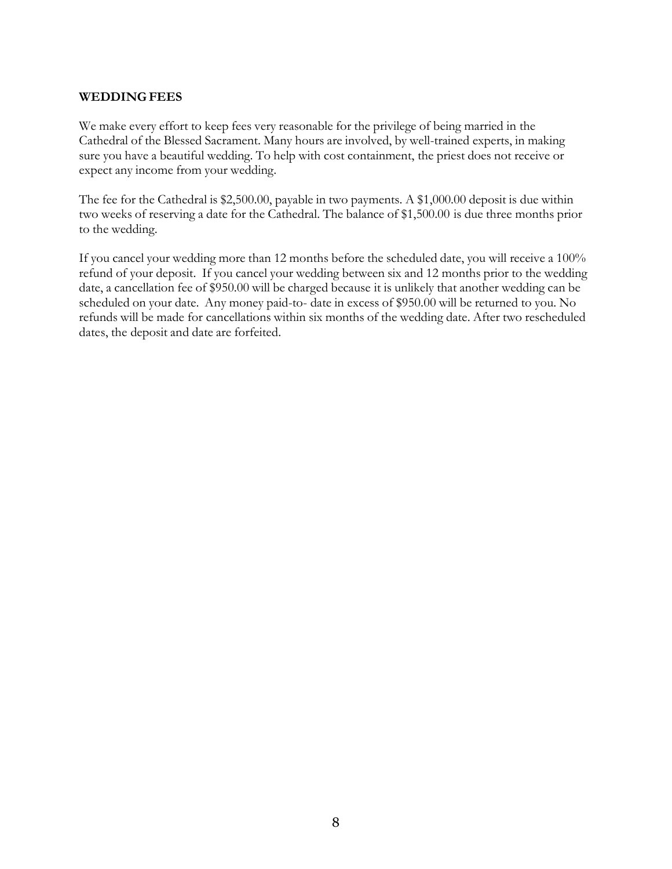### **WEDDING FEES**

We make every effort to keep fees very reasonable for the privilege of being married in the Cathedral of the Blessed Sacrament. Many hours are involved, by well-trained experts, in making sure you have a beautiful wedding. To help with cost containment, the priest does not receive or expect any income from your wedding.

The fee for the Cathedral is \$2,500.00, payable in two payments. A \$1,000.00 deposit is due within two weeks of reserving a date for the Cathedral. The balance of \$1,500.00 is due three months prior to the wedding.

If you cancel your wedding more than 12 months before the scheduled date, you will receive a 100% refund of your deposit. If you cancel your wedding between six and 12 months prior to the wedding date, a cancellation fee of \$950.00 will be charged because it is unlikely that another wedding can be scheduled on your date. Any money paid-to- date in excess of \$950.00 will be returned to you. No refunds will be made for cancellations within six months of the wedding date. After two rescheduled dates, the deposit and date are forfeited.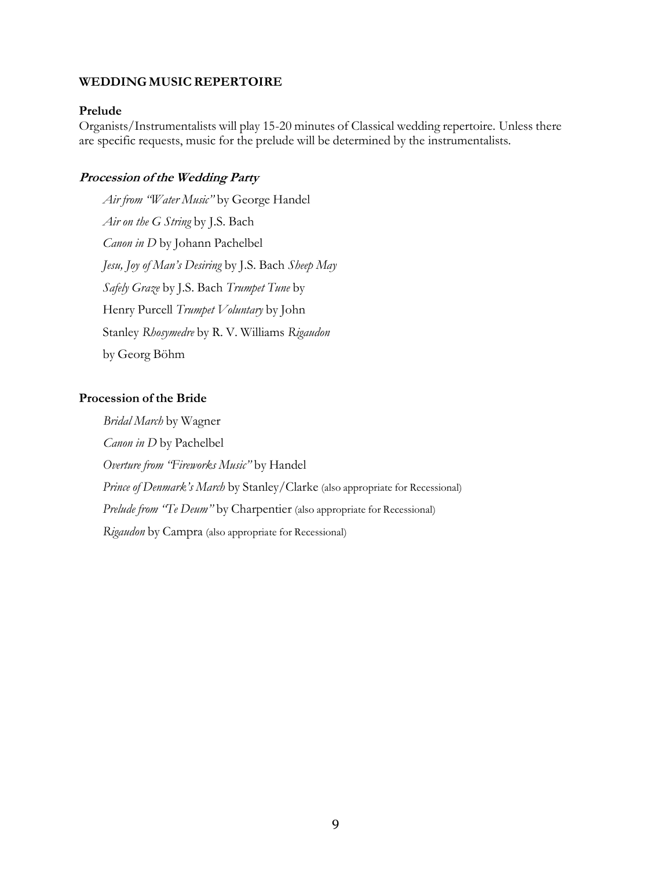### **WEDDING MUSICREPERTOIRE**

#### **Prelude**

Organists/Instrumentalists will play 15-20 minutes of Classical wedding repertoire. Unless there are specific requests, music for the prelude will be determined by the instrumentalists.

### **Procession of the Wedding Party**

*Air from "Water Music"* by George Handel *Air on the G String* by J.S. Bach *Canon in D* by Johann Pachelbel *Jesu, Joy of Man's Desiring* by J.S. Bach *Sheep May Safely Graze* by J.S. Bach *Trumpet Tune* by Henry Purcell *Trumpet Voluntary* by John Stanley *Rhosymedre* by R. V. Williams *Rigaudon* by Georg Böhm

### **Procession of the Bride**

*Bridal March* by Wagner *Canon in D* by Pachelbel *Overture from "Fireworks Music"* by Handel *Prince of Denmark's March* by Stanley/Clarke (also appropriate for Recessional) *Prelude from "Te Deum"* by Charpentier (also appropriate for Recessional) *Rigaudon* by Campra (also appropriate for Recessional)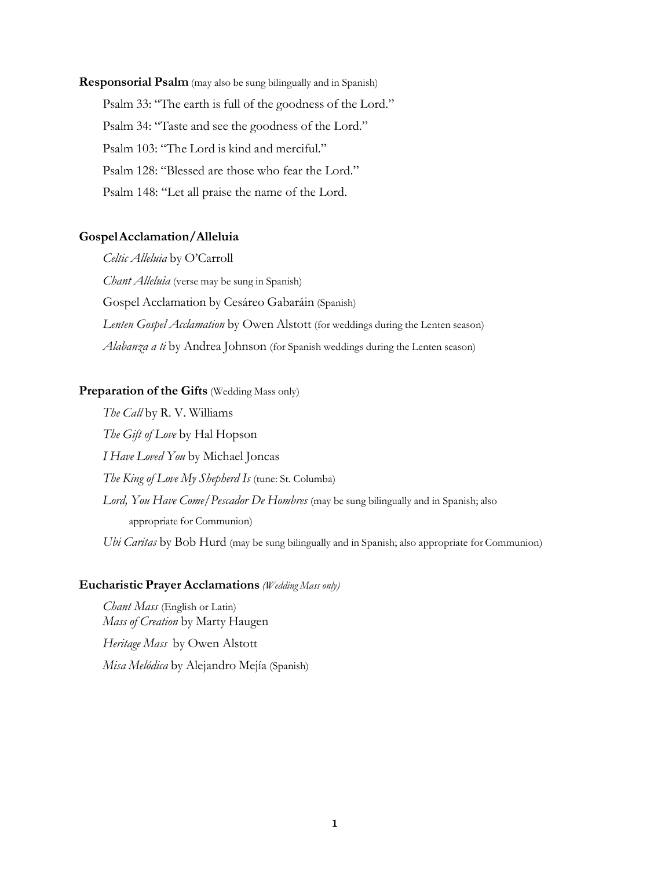**Responsorial Psalm** (may also be sung bilingually and in Spanish) Psalm 33: "The earth is full of the goodness of the Lord." Psalm 34: "Taste and see the goodness of the Lord." Psalm 103: "The Lord is kind and merciful." Psalm 128: "Blessed are those who fear the Lord." Psalm 148: "Let all praise the name of the Lord.

#### **GospelAcclamation/Alleluia**

*Celtic Alleluia* by O'Carroll *Chant Alleluia* (verse may be sung in Spanish) Gospel Acclamation by Cesáreo Gabaráin (Spanish) *Lenten Gospel Acclamation* by Owen Alstott (for weddings during the Lenten season) *Alabanza a ti* by Andrea Johnson (for Spanish weddings during the Lenten season)

#### **Preparation of the Gifts** (Wedding Mass only)

*The Call* by R. V. Williams *The Gift of Love* by Hal Hopson *I Have Loved You* by Michael Joncas *The King of Love My Shepherd Is* (tune: St. Columba) *Lord, You Have Come/Pescador De Hombres* (may be sung bilingually and in Spanish; also appropriate for Communion) *Ubi Caritas* by Bob Hurd (may be sung bilingually and in Spanish; also appropriate for Communion)

#### **Eucharistic Prayer Acclamations** *(Wedding Mass only)*

*Chant Mass* (English or Latin) *Mass of Creation* by Marty Haugen

*Heritage Mass* by Owen Alstott *Misa Melódica* by Alejandro Mejía (Spanish)